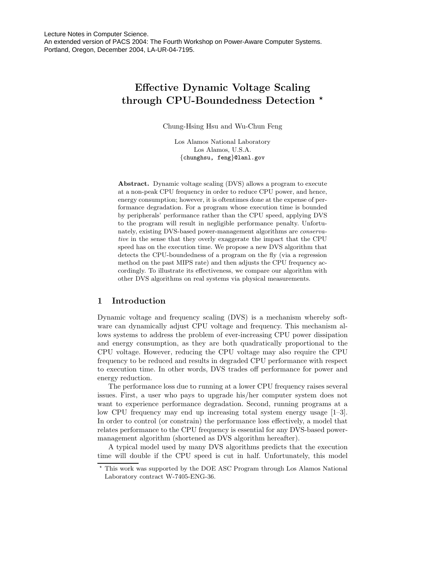# Effective Dynamic Voltage Scaling through CPU-Boundedness Detection ?

Chung-Hsing Hsu and Wu-Chun Feng

Los Alamos National Laboratory Los Alamos, U.S.A. {chunghsu, feng}@lanl.gov

Abstract. Dynamic voltage scaling (DVS) allows a program to execute at a non-peak CPU frequency in order to reduce CPU power, and hence, energy consumption; however, it is oftentimes done at the expense of performance degradation. For a program whose execution time is bounded by peripherals' performance rather than the CPU speed, applying DVS to the program will result in negligible performance penalty. Unfortunately, existing DVS-based power-management algorithms are conservative in the sense that they overly exaggerate the impact that the CPU speed has on the execution time. We propose a new DVS algorithm that detects the CPU-boundedness of a program on the fly (via a regression method on the past MIPS rate) and then adjusts the CPU frequency accordingly. To illustrate its effectiveness, we compare our algorithm with other DVS algorithms on real systems via physical measurements.

## 1 Introduction

Dynamic voltage and frequency scaling (DVS) is a mechanism whereby software can dynamically adjust CPU voltage and frequency. This mechanism allows systems to address the problem of ever-increasing CPU power dissipation and energy consumption, as they are both quadratically proportional to the CPU voltage. However, reducing the CPU voltage may also require the CPU frequency to be reduced and results in degraded CPU performance with respect to execution time. In other words, DVS trades off performance for power and energy reduction.

The performance loss due to running at a lower CPU frequency raises several issues. First, a user who pays to upgrade his/her computer system does not want to experience performance degradation. Second, running programs at a low CPU frequency may end up increasing total system energy usage [1–3]. In order to control (or constrain) the performance loss effectively, a model that relates performance to the CPU frequency is essential for any DVS-based powermanagement algorithm (shortened as DVS algorithm hereafter).

A typical model used by many DVS algorithms predicts that the execution time will double if the CPU speed is cut in half. Unfortunately, this model

<sup>?</sup> This work was supported by the DOE ASC Program through Los Alamos National Laboratory contract W-7405-ENG-36.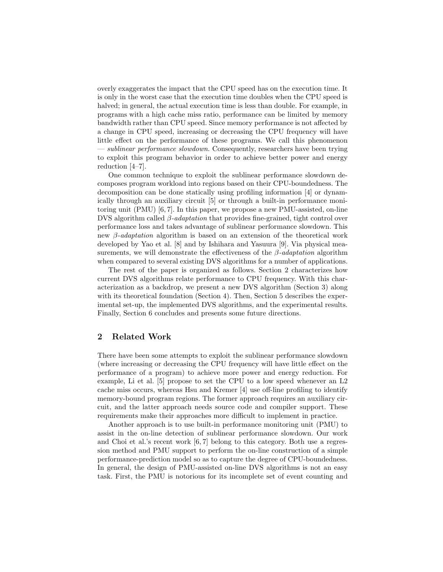overly exaggerates the impact that the CPU speed has on the execution time. It is only in the worst case that the execution time doubles when the CPU speed is halved; in general, the actual execution time is less than double. For example, in programs with a high cache miss ratio, performance can be limited by memory bandwidth rather than CPU speed. Since memory performance is not affected by a change in CPU speed, increasing or decreasing the CPU frequency will have little effect on the performance of these programs. We call this phenomenon — sublinear performance slowdown. Consequently, researchers have been trying to exploit this program behavior in order to achieve better power and energy reduction [4–7].

One common technique to exploit the sublinear performance slowdown decomposes program workload into regions based on their CPU-boundedness. The decomposition can be done statically using profiling information [4] or dynamically through an auxiliary circuit [5] or through a built-in performance monitoring unit (PMU) [6, 7]. In this paper, we propose a new PMU-assisted, on-line DVS algorithm called  $\beta$ -*adaptation* that provides fine-grained, tight control over performance loss and takes advantage of sublinear performance slowdown. This new β-adaptation algorithm is based on an extension of the theoretical work developed by Yao et al. [8] and by Ishihara and Yasuura [9]. Via physical measurements, we will demonstrate the effectiveness of the  $\beta$ -adaptation algorithm when compared to several existing DVS algorithms for a number of applications.

The rest of the paper is organized as follows. Section 2 characterizes how current DVS algorithms relate performance to CPU frequency. With this characterization as a backdrop, we present a new DVS algorithm (Section 3) along with its theoretical foundation (Section 4). Then, Section 5 describes the experimental set-up, the implemented DVS algorithms, and the experimental results. Finally, Section 6 concludes and presents some future directions.

## 2 Related Work

There have been some attempts to exploit the sublinear performance slowdown (where increasing or decreasing the CPU frequency will have little effect on the performance of a program) to achieve more power and energy reduction. For example, Li et al. [5] propose to set the CPU to a low speed whenever an L2 cache miss occurs, whereas Hsu and Kremer [4] use off-line profiling to identify memory-bound program regions. The former approach requires an auxiliary circuit, and the latter approach needs source code and compiler support. These requirements make their approaches more difficult to implement in practice.

Another approach is to use built-in performance monitoring unit (PMU) to assist in the on-line detection of sublinear performance slowdown. Our work and Choi et al.'s recent work [6, 7] belong to this category. Both use a regression method and PMU support to perform the on-line construction of a simple performance-prediction model so as to capture the degree of CPU-boundedness. In general, the design of PMU-assisted on-line DVS algorithms is not an easy task. First, the PMU is notorious for its incomplete set of event counting and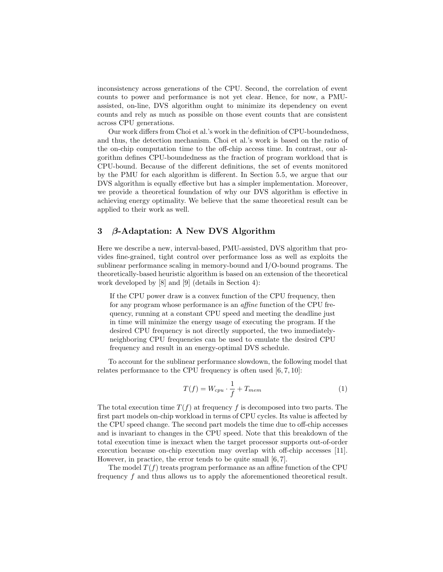inconsistency across generations of the CPU. Second, the correlation of event counts to power and performance is not yet clear. Hence, for now, a PMUassisted, on-line, DVS algorithm ought to minimize its dependency on event counts and rely as much as possible on those event counts that are consistent across CPU generations.

Our work differs from Choi et al.'s work in the definition of CPU-boundedness, and thus, the detection mechanism. Choi et al.'s work is based on the ratio of the on-chip computation time to the off-chip access time. In contrast, our algorithm defines CPU-boundedness as the fraction of program workload that is CPU-bound. Because of the different definitions, the set of events monitored by the PMU for each algorithm is different. In Section 5.5, we argue that our DVS algorithm is equally effective but has a simpler implementation. Moreover, we provide a theoretical foundation of why our DVS algorithm is effective in achieving energy optimality. We believe that the same theoretical result can be applied to their work as well.

# 3 β-Adaptation: A New DVS Algorithm

Here we describe a new, interval-based, PMU-assisted, DVS algorithm that provides fine-grained, tight control over performance loss as well as exploits the sublinear performance scaling in memory-bound and I/O-bound programs. The theoretically-based heuristic algorithm is based on an extension of the theoretical work developed by [8] and [9] (details in Section 4):

If the CPU power draw is a convex function of the CPU frequency, then for any program whose performance is an affine function of the CPU frequency, running at a constant CPU speed and meeting the deadline just in time will minimize the energy usage of executing the program. If the desired CPU frequency is not directly supported, the two immediatelyneighboring CPU frequencies can be used to emulate the desired CPU frequency and result in an energy-optimal DVS schedule.

To account for the sublinear performance slowdown, the following model that relates performance to the CPU frequency is often used [6, 7, 10]:

$$
T(f) = W_{cpu} \cdot \frac{1}{f} + T_{mem} \tag{1}
$$

The total execution time  $T(f)$  at frequency f is decomposed into two parts. The first part models on-chip workload in terms of CPU cycles. Its value is affected by the CPU speed change. The second part models the time due to off-chip accesses and is invariant to changes in the CPU speed. Note that this breakdown of the total execution time is inexact when the target processor supports out-of-order execution because on-chip execution may overlap with off-chip accesses [11]. However, in practice, the error tends to be quite small [6, 7].

The model  $T(f)$  treats program performance as an affine function of the CPU frequency f and thus allows us to apply the aforementioned theoretical result.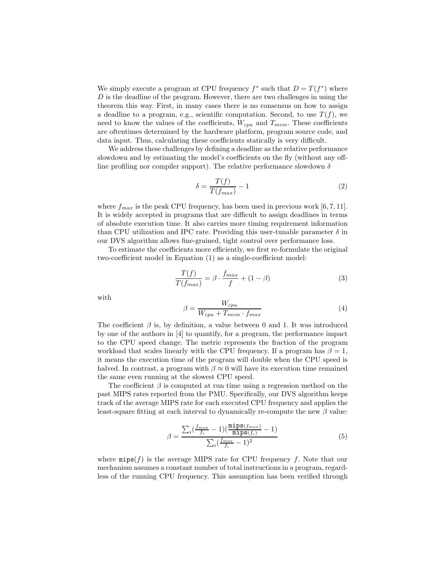We simply execute a program at CPU frequency  $f^*$  such that  $D = T(f^*)$  where D is the deadline of the program. However, there are two challenges in using the theorem this way. First, in many cases there is no consensus on how to assign a deadline to a program, e.g., scientific computation. Second, to use  $T(f)$ , we need to know the values of the coefficients,  $W_{cpu}$  and  $T_{mem}$ . These coefficients are oftentimes determined by the hardware platform, program source code, and data input. Thus, calculating these coefficients statically is very difficult.

We address these challenges by defining a deadline as the relative performance slowdown and by estimating the model's coefficients on the fly (without any offline profiling nor compiler support). The relative performance slowdown  $\delta$ 

$$
\delta = \frac{T(f)}{T(f_{max})} - 1\tag{2}
$$

where  $f_{max}$  is the peak CPU frequency, has been used in previous work [6, 7, 11]. It is widely accepted in programs that are difficult to assign deadlines in terms of absolute execution time. It also carries more timing requirement information than CPU utilization and IPC rate. Providing this user-tunable parameter  $\delta$  in our DVS algorithm allows fine-grained, tight control over performance loss.

To estimate the coefficients more efficiently, we first re-formulate the original two-coefficient model in Equation (1) as a single-coefficient model:

$$
\frac{T(f)}{T(f_{max})} = \beta \cdot \frac{f_{max}}{f} + (1 - \beta) \tag{3}
$$

with

$$
\beta = \frac{W_{cpu}}{W_{cpu} + T_{mem} \cdot f_{max}}\tag{4}
$$

The coefficient  $\beta$  is, by definition, a value between 0 and 1. It was introduced by one of the authors in [4] to quantify, for a program, the performance impact to the CPU speed change. The metric represents the fraction of the program workload that scales linearly with the CPU frequency. If a program has  $\beta = 1$ , it means the execution time of the program will double when the CPU speed is halved. In contrast, a program with  $\beta \approx 0$  will have its execution time remained the same even running at the slowest CPU speed.

The coefficient  $\beta$  is computed at run time using a regression method on the past MIPS rates reported from the PMU. Specifically, our DVS algorithm keeps track of the average MIPS rate for each executed CPU frequency and applies the least-square fitting at each interval to dynamically re-compute the new  $\beta$  value:

$$
\beta = \frac{\sum_{i} \left( \frac{f_{max}}{f_i} - 1 \right) \left( \frac{\text{mips}(f_{max})}{\text{mips}(f_i)} - 1 \right)}{\sum_{i} \left( \frac{f_{max}}{f_i} - 1 \right)^2} \tag{5}
$$

where  $\text{mins}(f)$  is the average MIPS rate for CPU frequency f. Note that our mechanism assumes a constant number of total instructions in a program, regardless of the running CPU frequency. This assumption has been verified through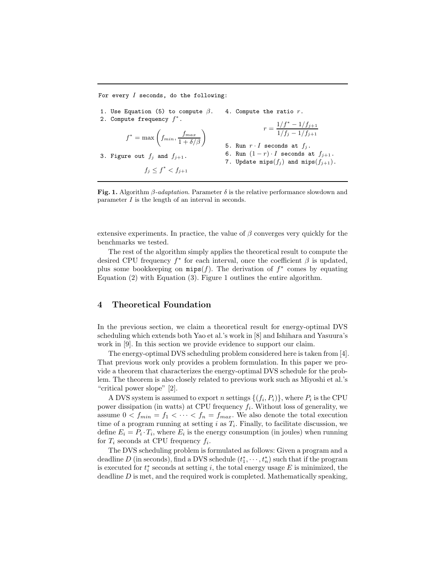For every  $I$  seconds, do the following:

|  | 1. Use Equation (5) to compute $\beta$ .                               | 4. Compute the ratio $r$ .                                                             |
|--|------------------------------------------------------------------------|----------------------------------------------------------------------------------------|
|  | 2. Compute frequency $f^*$ .                                           |                                                                                        |
|  | $f^* = \max \left( f_{min}, \frac{f_{max}}{1 + \delta/\beta} \right).$ | $r = \frac{1/f^* - 1/f_{j+1}}{1/f_j - 1/f_{j+1}}$                                      |
|  | 3. Figure out $f_i$ and $f_{i+1}$ .                                    | 5. Run $r \cdot I$ seconds at $f_i$ .<br>6. Run $(1-r) \cdot I$ seconds at $f_{i+1}$ . |
|  |                                                                        | 7. Update mips $(f_j)$ and mips $(f_{j+1})$ .                                          |
|  | $f_i \leq f^* < f_{j+1}$                                               |                                                                                        |

Fig. 1. Algorithm  $\beta$ -*adaptation*. Parameter  $\delta$  is the relative performance slowdown and parameter I is the length of an interval in seconds.

extensive experiments. In practice, the value of  $\beta$  converges very quickly for the benchmarks we tested.

The rest of the algorithm simply applies the theoretical result to compute the desired CPU frequency  $f^*$  for each interval, once the coefficient  $\beta$  is updated, plus some bookkeeping on  $\text{minp}(f)$ . The derivation of  $f^*$  comes by equating Equation (2) with Equation (3). Figure 1 outlines the entire algorithm.

# 4 Theoretical Foundation

In the previous section, we claim a theoretical result for energy-optimal DVS scheduling which extends both Yao et al.'s work in [8] and Ishihara and Yasuura's work in [9]. In this section we provide evidence to support our claim.

The energy-optimal DVS scheduling problem considered here is taken from [4]. That previous work only provides a problem formulation. In this paper we provide a theorem that characterizes the energy-optimal DVS schedule for the problem. The theorem is also closely related to previous work such as Miyoshi et al.'s "critical power slope" [2].

A DVS system is assumed to export n settings  $\{(f_i, P_i)\}\text{, where } P_i$  is the CPU power dissipation (in watts) at CPU frequency  $f_i$ . Without loss of generality, we assume  $0 < f_{min} = f_1 < \cdots < f_n = f_{max}$ . We also denote the total execution time of a program running at setting  $i$  as  $T_i$ . Finally, to facilitate discussion, we define  $E_i = P_i \cdot T_i$ , where  $E_i$  is the energy consumption (in joules) when running for  $T_i$  seconds at CPU frequency  $f_i$ .

The DVS scheduling problem is formulated as follows: Given a program and a deadline D (in seconds), find a DVS schedule  $(t_1^*, \dots, t_n^*)$  such that if the program is executed for  $t_i^*$  seconds at setting i, the total energy usage E is minimized, the deadline  $D$  is met, and the required work is completed. Mathematically speaking,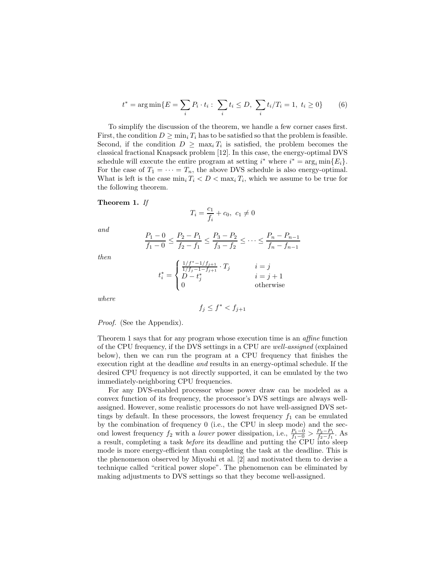$$
t^* = \arg\min\{E = \sum_i P_i \cdot t_i : \sum_i t_i \le D, \sum_i t_i / T_i = 1, t_i \ge 0\}
$$
 (6)

To simplify the discussion of the theorem, we handle a few corner cases first. First, the condition  $D \geq \min_i T_i$  has to be satisfied so that the problem is feasible. Second, if the condition  $D \geq \max_i T_i$  is satisfied, the problem becomes the classical fractional Knapsack problem [12]. In this case, the energy-optimal DVS schedule will execute the entire program at setting  $i^*$  where  $i^* = \arg_i \min\{E_i\}.$ For the case of  $T_1 = \cdots = T_n$ , the above DVS schedule is also energy-optimal. What is left is the case  $\min_i T_i < D < \max_i T_i$ , which we assume to be true for the following theorem.

#### Theorem 1. If

$$
T_i=\frac{c_1}{f_i}+c_0,\ c_1\neq 0
$$

and

$$
\frac{P_1 - 0}{f_1 - 0} \le \frac{P_2 - P_1}{f_2 - f_1} \le \frac{P_3 - P_2}{f_3 - f_2} \le \dots \le \frac{P_n - P_{n-1}}{f_n - f_{n-1}}
$$

then

$$
t_i^* = \begin{cases} \frac{1/f^* - 1/f_{j+1}}{1/f_j - 1 - f_{j+1}} \cdot T_j & i = j \\ D - t_j^* & i = j+1 \\ 0 & \text{otherwise} \end{cases}
$$

where

$$
f_j \le f^* < f_{j+1}
$$

Proof. (See the Appendix).

Theorem 1 says that for any program whose execution time is an affine function of the CPU frequency, if the DVS settings in a CPU are well-assigned (explained below), then we can run the program at a CPU frequency that finishes the execution right at the deadline and results in an energy-optimal schedule. If the desired CPU frequency is not directly supported, it can be emulated by the two immediately-neighboring CPU frequencies.

For any DVS-enabled processor whose power draw can be modeled as a convex function of its frequency, the processor's DVS settings are always wellassigned. However, some realistic processors do not have well-assigned DVS settings by default. In these processors, the lowest frequency  $f_1$  can be emulated by the combination of frequency 0 (i.e., the CPU in sleep mode) and the second lowest frequency  $f_2$  with a *lower* power dissipation, i.e.,  $\frac{P_1-0}{f_1-0} > \frac{P_2-P_1}{f_2-f_1}$ . As a result, completing a task before its deadline and putting the CPU into sleep mode is more energy-efficient than completing the task at the deadline. This is the phenomenon observed by Miyoshi et al. [2] and motivated them to devise a technique called "critical power slope". The phenomenon can be eliminated by making adjustments to DVS settings so that they become well-assigned.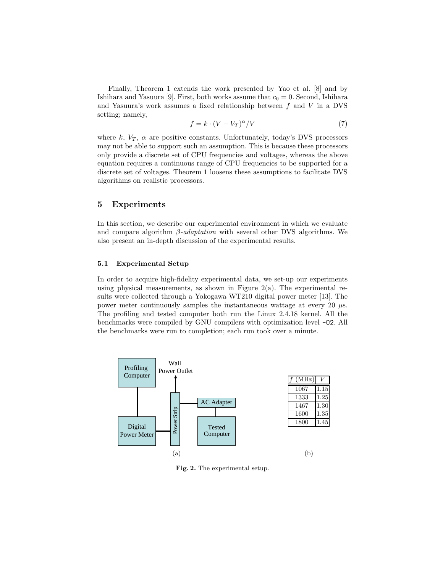Finally, Theorem 1 extends the work presented by Yao et al. [8] and by Ishihara and Yasuura [9]. First, both works assume that  $c_0 = 0$ . Second, Ishihara and Yasuura's work assumes a fixed relationship between  $f$  and  $V$  in a DVS setting; namely,

$$
f = k \cdot (V - V_T)^{\alpha} / V \tag{7}
$$

where k,  $V_T$ ,  $\alpha$  are positive constants. Unfortunately, today's DVS processors may not be able to support such an assumption. This is because these processors only provide a discrete set of CPU frequencies and voltages, whereas the above equation requires a continuous range of CPU frequencies to be supported for a discrete set of voltages. Theorem 1 loosens these assumptions to facilitate DVS algorithms on realistic processors.

# 5 Experiments

In this section, we describe our experimental environment in which we evaluate and compare algorithm  $\beta$ -*adaptation* with several other DVS algorithms. We also present an in-depth discussion of the experimental results.

## 5.1 Experimental Setup

In order to acquire high-fidelity experimental data, we set-up our experiments using physical measurements, as shown in Figure  $2(a)$ . The experimental results were collected through a Yokogawa WT210 digital power meter [13]. The power meter continuously samples the instantaneous wattage at every 20  $\mu$ s. The profiling and tested computer both run the Linux 2.4.18 kernel. All the benchmarks were compiled by GNU compilers with optimization level -O2. All the benchmarks were run to completion; each run took over a minute.



Fig. 2. The experimental setup.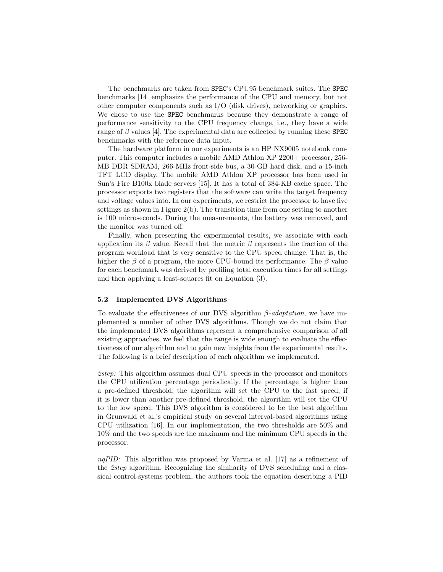The benchmarks are taken from SPEC's CPU95 benchmark suites. The SPEC benchmarks [14] emphasize the performance of the CPU and memory, but not other computer components such as I/O (disk drives), networking or graphics. We chose to use the SPEC benchmarks because they demonstrate a range of performance sensitivity to the CPU frequency change, i.e., they have a wide range of  $\beta$  values [4]. The experimental data are collected by running these SPEC benchmarks with the reference data input.

The hardware platform in our experiments is an HP NX9005 notebook computer. This computer includes a mobile AMD Athlon XP 2200+ processor, 256- MB DDR SDRAM, 266-MHz front-side bus, a 30-GB hard disk, and a 15-inch TFT LCD display. The mobile AMD Athlon XP processor has been used in Sun's Fire B100x blade servers [15]. It has a total of 384-KB cache space. The processor exports two registers that the software can write the target frequency and voltage values into. In our experiments, we restrict the processor to have five settings as shown in Figure 2(b). The transition time from one setting to another is 100 microseconds. During the measurements, the battery was removed, and the monitor was turned off.

Finally, when presenting the experimental results, we associate with each application its  $\beta$  value. Recall that the metric  $\beta$  represents the fraction of the program workload that is very sensitive to the CPU speed change. That is, the higher the  $\beta$  of a program, the more CPU-bound its performance. The  $\beta$  value for each benchmark was derived by profiling total execution times for all settings and then applying a least-squares fit on Equation (3).

#### 5.2 Implemented DVS Algorithms

To evaluate the effectiveness of our DVS algorithm  $\beta$ -adaptation, we have implemented a number of other DVS algorithms. Though we do not claim that the implemented DVS algorithms represent a comprehensive comparison of all existing approaches, we feel that the range is wide enough to evaluate the effectiveness of our algorithm and to gain new insights from the experimental results. The following is a brief description of each algorithm we implemented.

2step: This algorithm assumes dual CPU speeds in the processor and monitors the CPU utilization percentage periodically. If the percentage is higher than a pre-defined threshold, the algorithm will set the CPU to the fast speed; if it is lower than another pre-defined threshold, the algorithm will set the CPU to the low speed. This DVS algorithm is considered to be the best algorithm in Grunwald et al.'s empirical study on several interval-based algorithms using CPU utilization [16]. In our implementation, the two thresholds are 50% and 10% and the two speeds are the maximum and the minimum CPU speeds in the processor.

 $nqPID$ : This algorithm was proposed by Varma et al. [17] as a refinement of the 2step algorithm. Recognizing the similarity of DVS scheduling and a classical control-systems problem, the authors took the equation describing a PID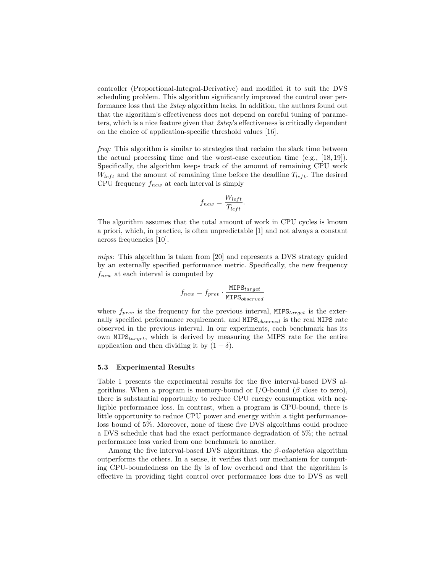controller (Proportional-Integral-Derivative) and modified it to suit the DVS scheduling problem. This algorithm significantly improved the control over performance loss that the 2step algorithm lacks. In addition, the authors found out that the algorithm's effectiveness does not depend on careful tuning of parameters, which is a nice feature given that 2step's effectiveness is critically dependent on the choice of application-specific threshold values [16].

freq: This algorithm is similar to strategies that reclaim the slack time between the actual processing time and the worst-case execution time (e.g., [18, 19]). Specifically, the algorithm keeps track of the amount of remaining CPU work  $W_{left}$  and the amount of remaining time before the deadline  $T_{left}$ . The desired CPU frequency  $f_{new}$  at each interval is simply

$$
f_{new} = \frac{W_{left}}{T_{left}}.
$$

The algorithm assumes that the total amount of work in CPU cycles is known a priori, which, in practice, is often unpredictable [1] and not always a constant across frequencies [10].

mips: This algorithm is taken from [20] and represents a DVS strategy guided by an externally specified performance metric. Specifically, the new frequency  $f_{new}$  at each interval is computed by

$$
f_{new} = f_{prev} \cdot \frac{\text{MIPS}_{target}}{\text{MIPS}_{observed}}
$$

where  $f_{prev}$  is the frequency for the previous interval,  $MIPS_{target}$  is the externally specified performance requirement, and  $MIPS_{observed}$  is the real MIPS rate observed in the previous interval. In our experiments, each benchmark has its own  $MIPS_{target}$ , which is derived by measuring the MIPS rate for the entire application and then dividing it by  $(1 + \delta)$ .

#### 5.3 Experimental Results

Table 1 presents the experimental results for the five interval-based DVS algorithms. When a program is memory-bound or I/O-bound ( $\beta$  close to zero), there is substantial opportunity to reduce CPU energy consumption with negligible performance loss. In contrast, when a program is CPU-bound, there is little opportunity to reduce CPU power and energy within a tight performanceloss bound of 5%. Moreover, none of these five DVS algorithms could produce a DVS schedule that had the exact performance degradation of 5%; the actual performance loss varied from one benchmark to another.

Among the five interval-based DVS algorithms, the  $\beta$ -adaptation algorithm outperforms the others. In a sense, it verifies that our mechanism for computing CPU-boundedness on the fly is of low overhead and that the algorithm is effective in providing tight control over performance loss due to DVS as well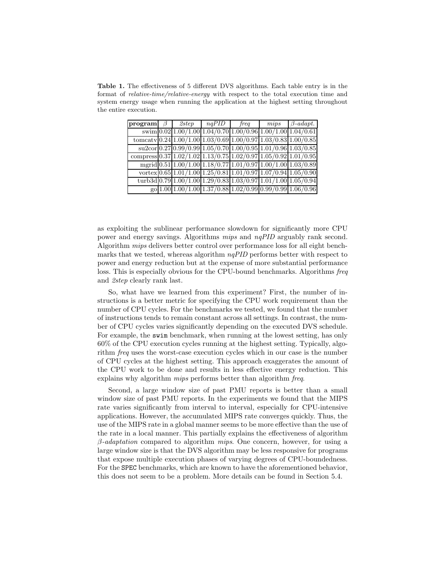Table 1. The effectiveness of 5 different DVS algorithms. Each table entry is in the format of relative-time/relative-energy with respect to the total execution time and system energy usage when running the application at the highest setting throughout the entire execution.

| program | 2step | $nqPID$ freq                                                        | mips | $\beta$ -adapt. |
|---------|-------|---------------------------------------------------------------------|------|-----------------|
|         |       | swim $[0.02 1.00/1.00 1.04/0.70 1.00/0.96 1.00/1.00 1.04/0.61]$     |      |                 |
|         |       | tomcatv $[0.24]1.00/1.00]1.03/0.69]1.00/0.97]1.03/0.83]1.00/0.85$   |      |                 |
|         |       | su2cor 0.27 0.99/0.99 1.05/0.70 1.00/0.95 1.01/0.96 1.03/0.85       |      |                 |
|         |       | compress 0.37 1.02/1.02 1.13/0.75 1.02/0.97 1.05/0.92 1.01/0.95     |      |                 |
|         |       | mgrid 0.51 1.00/1.00 1.18/0.77 1.01/0.97 1.00/1.00 1.03/0.89        |      |                 |
|         |       | vortex 0.65 1.01/1.00 1.25/0.81 1.01/0.97 1.07/0.94 1.05/0.90       |      |                 |
|         |       | turb3d $[0.79]1.00/1.00]1.29/0.83$ $[1.03/0.97]1.01/1.00]1.05/0.94$ |      |                 |
|         |       | go 1.00 1.00 1.00 1.37 / 0.88 1.02 / 0.99 0.99 / 0.99 1.06 / 0.96   |      |                 |

as exploiting the sublinear performance slowdown for significantly more CPU power and energy savings. Algorithms mips and nqPID arguably rank second. Algorithm mips delivers better control over performance loss for all eight benchmarks that we tested, whereas algorithm  $nqPID$  performs better with respect to power and energy reduction but at the expense of more substantial performance loss. This is especially obvious for the CPU-bound benchmarks. Algorithms freq and 2step clearly rank last.

So, what have we learned from this experiment? First, the number of instructions is a better metric for specifying the CPU work requirement than the number of CPU cycles. For the benchmarks we tested, we found that the number of instructions tends to remain constant across all settings. In contrast, the number of CPU cycles varies significantly depending on the executed DVS schedule. For example, the swim benchmark, when running at the lowest setting, has only 60% of the CPU execution cycles running at the highest setting. Typically, algorithm freq uses the worst-case execution cycles which in our case is the number of CPU cycles at the highest setting. This approach exaggerates the amount of the CPU work to be done and results in less effective energy reduction. This explains why algorithm mips performs better than algorithm freq.

Second, a large window size of past PMU reports is better than a small window size of past PMU reports. In the experiments we found that the MIPS rate varies significantly from interval to interval, especially for CPU-intensive applications. However, the accumulated MIPS rate converges quickly. Thus, the use of the MIPS rate in a global manner seems to be more effective than the use of the rate in a local manner. This partially explains the effectiveness of algorithm  $\beta$ -adaptation compared to algorithm mips. One concern, however, for using a large window size is that the DVS algorithm may be less responsive for programs that expose multiple execution phases of varying degrees of CPU-boundedness. For the SPEC benchmarks, which are known to have the aforementioned behavior, this does not seem to be a problem. More details can be found in Section 5.4.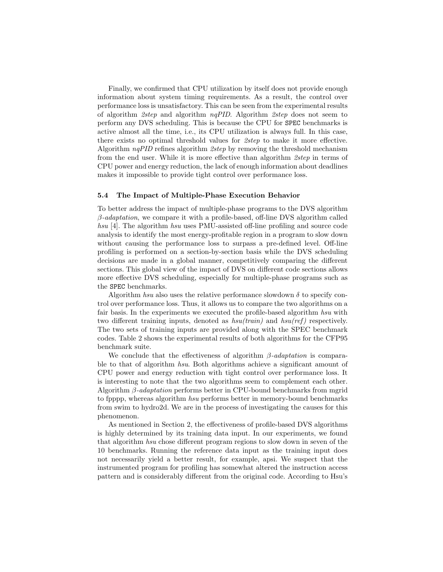Finally, we confirmed that CPU utilization by itself does not provide enough information about system timing requirements. As a result, the control over performance loss is unsatisfactory. This can be seen from the experimental results of algorithm 2step and algorithm nqPID. Algorithm 2step does not seem to perform any DVS scheduling. This is because the CPU for SPEC benchmarks is active almost all the time, i.e., its CPU utilization is always full. In this case, there exists no optimal threshold values for 2step to make it more effective. Algorithm  $nqPID$  refines algorithm 2step by removing the threshold mechanism from the end user. While it is more effective than algorithm 2step in terms of CPU power and energy reduction, the lack of enough information about deadlines makes it impossible to provide tight control over performance loss.

#### 5.4 The Impact of Multiple-Phase Execution Behavior

To better address the impact of multiple-phase programs to the DVS algorithm  $\beta$ -adaptation, we compare it with a profile-based, off-line DVS algorithm called hsu [4]. The algorithm hsu uses PMU-assisted off-line profiling and source code analysis to identify the most energy-profitable region in a program to slow down without causing the performance loss to surpass a pre-defined level. Off-line profiling is performed on a section-by-section basis while the DVS scheduling decisions are made in a global manner, competitively comparing the different sections. This global view of the impact of DVS on different code sections allows more effective DVS scheduling, especially for multiple-phase programs such as the SPEC benchmarks.

Algorithm hsu also uses the relative performance slowdown  $\delta$  to specify control over performance loss. Thus, it allows us to compare the two algorithms on a fair basis. In the experiments we executed the profile-based algorithm hsu with two different training inputs, denoted as  $hsu(train)$  and  $hsu(ref)$  respectively. The two sets of training inputs are provided along with the SPEC benchmark codes. Table 2 shows the experimental results of both algorithms for the CFP95 benchmark suite.

We conclude that the effectiveness of algorithm  $\beta$ -adaptation is comparable to that of algorithm hsu. Both algorithms achieve a significant amount of CPU power and energy reduction with tight control over performance loss. It is interesting to note that the two algorithms seem to complement each other. Algorithm  $\beta$ -*adaptation* performs better in CPU-bound benchmarks from mgrid to formpthened benchmarks to form here in memory-bound benchmarks from swim to hydro2d. We are in the process of investigating the causes for this phenomenon.

As mentioned in Section 2, the effectiveness of profile-based DVS algorithms is highly determined by its training data input. In our experiments, we found that algorithm hsu chose different program regions to slow down in seven of the 10 benchmarks. Running the reference data input as the training input does not necessarily yield a better result, for example, apsi. We suspect that the instrumented program for profiling has somewhat altered the instruction access pattern and is considerably different from the original code. According to Hsu's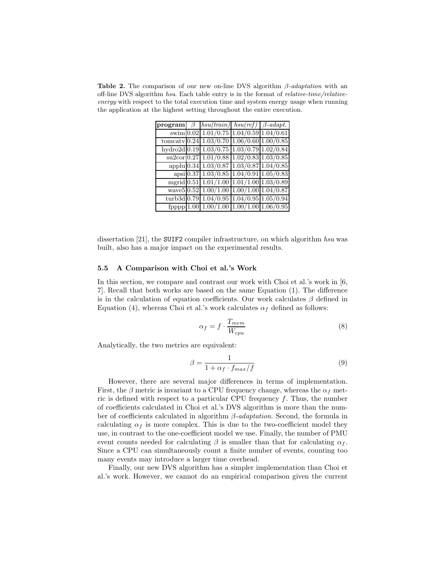**Table 2.** The comparison of our new on-line DVS algorithm  $\beta$ -*adaptation* with an off-line DVS algorithm hsu. Each table entry is in the format of relative-time/relativeenergy with respect to the total execution time and system energy usage when running the application at the highest setting throughout the entire execution.

| program $\beta$ | $hsu(train)$ hsu(ref) $\beta$ -adapt.      |  |
|-----------------|--------------------------------------------|--|
|                 | swim 0.02 1.01/0.75 1.04/0.59 1.04/0.61    |  |
|                 | tomcaty 0.24 1.03/0.70 1.06/0.60 1.00/0.85 |  |
|                 | hydro2d 0.19 1.03/0.75 1.03/0.79 1.02/0.84 |  |
|                 | su2cor 0.27 1.01/0.88 1.02/0.83 1.03/0.85  |  |
|                 | applu 0.34 1.03/0.87 1.03/0.87 1.04/0.85   |  |
|                 | apsi 0.37 1.03/0.85 1.04/0.91 1.05/0.83    |  |
|                 | mgrid 0.51 1.01/1.00 1.01/1.00 1.03/0.89   |  |
|                 | wave5 0.52 1.00/1.00 1.00/1.00 1.04/0.87   |  |
|                 | turb3d 0.79 1.04/0.95 1.04/0.95 1.05/0.94  |  |
|                 | fpppp 1.00 1.00/1.00 1.00/1.00 1.06/0.95   |  |

dissertation [21], the SUIF2 compiler infrastructure, on which algorithm hsu was built, also has a major impact on the experimental results.

#### 5.5 A Comparison with Choi et al.'s Work

In this section, we compare and contrast our work with Choi et al.'s work in [6, 7]. Recall that both works are based on the same Equation (1). The difference is in the calculation of equation coefficients. Our work calculates  $\beta$  defined in Equation (4), whereas Choi et al.'s work calculates  $\alpha_f$  defined as follows:

$$
\alpha_f = f \cdot \frac{T_{mem}}{W_{cpu}} \tag{8}
$$

Analytically, the two metrics are equivalent:

$$
\beta = \frac{1}{1 + \alpha_f \cdot f_{max}/f} \tag{9}
$$

However, there are several major differences in terms of implementation. First, the  $\beta$  metric is invariant to a CPU frequency change, whereas the  $\alpha_f$  metric is defined with respect to a particular CPU frequency  $f$ . Thus, the number of coefficients calculated in Choi et al.'s DVS algorithm is more than the number of coefficients calculated in algorithm  $\beta$ -adaptation. Second, the formula in calculating  $\alpha_f$  is more complex. This is due to the two-coefficient model they use, in contrast to the one-coefficient model we use. Finally, the number of PMU event counts needed for calculating  $\beta$  is smaller than that for calculating  $\alpha_f$ . Since a CPU can simultaneously count a finite number of events, counting too many events may introduce a larger time overhead.

Finally, our new DVS algorithm has a simpler implementation than Choi et al.'s work. However, we cannot do an empirical comparison given the current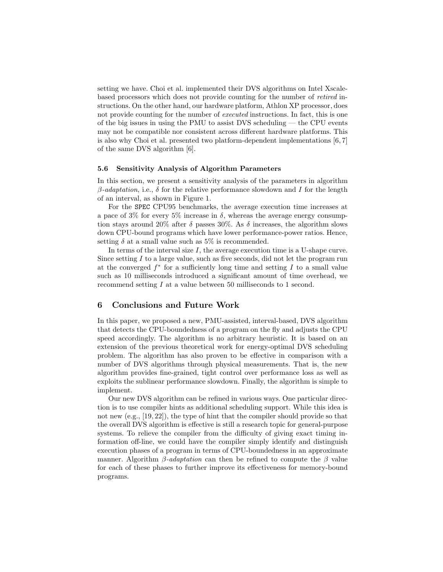setting we have. Choi et al. implemented their DVS algorithms on Intel Xscalebased processors which does not provide counting for the number of retired instructions. On the other hand, our hardware platform, Athlon XP processor, does not provide counting for the number of *executed* instructions. In fact, this is one of the big issues in using the PMU to assist DVS scheduling — the CPU events may not be compatible nor consistent across different hardware platforms. This is also why Choi et al. presented two platform-dependent implementations [6, 7] of the same DVS algorithm [6].

#### 5.6 Sensitivity Analysis of Algorithm Parameters

In this section, we present a sensitivity analysis of the parameters in algorithm  $\beta$ -adaptation, i.e.,  $\delta$  for the relative performance slowdown and I for the length of an interval, as shown in Figure 1.

For the SPEC CPU95 benchmarks, the average execution time increases at a pace of 3% for every 5% increase in  $\delta$ , whereas the average energy consumption stays around 20% after  $\delta$  passes 30%. As  $\delta$  increases, the algorithm slows down CPU-bound programs which have lower performance-power ratios. Hence, setting  $\delta$  at a small value such as 5% is recommended.

In terms of the interval size I, the average execution time is a U-shape curve. Since setting  $I$  to a large value, such as five seconds, did not let the program run at the converged  $f^*$  for a sufficiently long time and setting I to a small value such as 10 milliseconds introduced a significant amount of time overhead, we recommend setting I at a value between 50 milliseconds to 1 second.

# 6 Conclusions and Future Work

In this paper, we proposed a new, PMU-assisted, interval-based, DVS algorithm that detects the CPU-boundedness of a program on the fly and adjusts the CPU speed accordingly. The algorithm is no arbitrary heuristic. It is based on an extension of the previous theoretical work for energy-optimal DVS scheduling problem. The algorithm has also proven to be effective in comparison with a number of DVS algorithms through physical measurements. That is, the new algorithm provides fine-grained, tight control over performance loss as well as exploits the sublinear performance slowdown. Finally, the algorithm is simple to implement.

Our new DVS algorithm can be refined in various ways. One particular direction is to use compiler hints as additional scheduling support. While this idea is not new (e.g., [19, 22]), the type of hint that the compiler should provide so that the overall DVS algorithm is effective is still a research topic for general-purpose systems. To relieve the compiler from the difficulty of giving exact timing information off-line, we could have the compiler simply identify and distinguish execution phases of a program in terms of CPU-boundedness in an approximate manner. Algorithm  $\beta$ -*adaptation* can then be refined to compute the  $\beta$  value for each of these phases to further improve its effectiveness for memory-bound programs.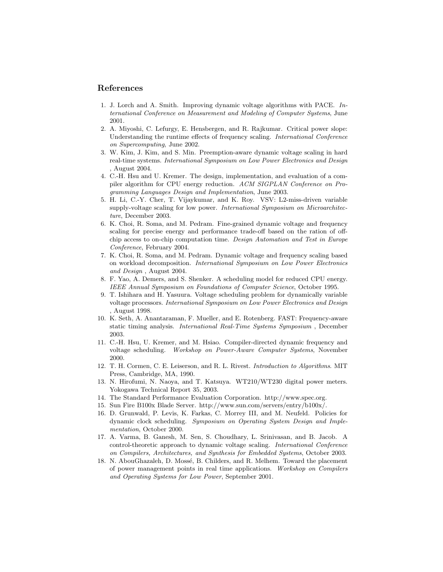# References

- 1. J. Lorch and A. Smith. Improving dynamic voltage algorithms with PACE. International Conference on Measurement and Modeling of Computer Systems, June 2001.
- 2. A. Miyoshi, C. Lefurgy, E. Hensbergen, and R. Rajkumar. Critical power slope: Understanding the runtime effects of frequency scaling. International Conference on Supercomputing, June 2002.
- 3. W. Kim, J. Kim, and S. Min. Preemption-aware dynamic voltage scaling in hard real-time systems. International Symposium on Low Power Electronics and Design , August 2004.
- 4. C.-H. Hsu and U. Kremer. The design, implementation, and evaluation of a compiler algorithm for CPU energy reduction. ACM SIGPLAN Conference on Programming Languages Design and Implementation, June 2003.
- 5. H. Li, C.-Y. Cher, T. Vijaykumar, and K. Roy. VSV: L2-miss-driven variable supply-voltage scaling for low power. International Symposium on Microarchitecture, December 2003.
- 6. K. Choi, R. Soma, and M. Pedram. Fine-grained dynamic voltage and frequency scaling for precise energy and performance trade-off based on the ration of offchip access to on-chip computation time. Design Automation and Test in Europe Conference, February 2004.
- 7. K. Choi, R. Soma, and M. Pedram. Dynamic voltage and frequency scaling based on workload decomposition. International Symposium on Low Power Electronics and Design , August 2004.
- 8. F. Yao, A. Demers, and S. Shenker. A scheduling model for reduced CPU energy. IEEE Annual Symposium on Foundations of Computer Science, October 1995.
- 9. T. Ishihara and H. Yasuura. Voltage scheduling problem for dynamically variable voltage processors. International Symposium on Low Power Electronics and Design , August 1998.
- 10. K. Seth, A. Anantaraman, F. Mueller, and E. Rotenberg. FAST: Frequency-aware static timing analysis. International Real-Time Systems Symposium , December 2003.
- 11. C.-H. Hsu, U. Kremer, and M. Hsiao. Compiler-directed dynamic frequency and voltage scheduling. Workshop on Power-Aware Computer Systems, November 2000.
- 12. T. H. Cormen, C. E. Leiserson, and R. L. Rivest. Introduction to Algorithms. MIT Press, Cambridge, MA, 1990.
- 13. N. Hirofumi, N. Naoya, and T. Katsuya. WT210/WT230 digital power meters. Yokogawa Technical Report 35, 2003.
- 14. The Standard Performance Evaluation Corporation. http://www.spec.org.
- 15. Sun Fire B100x Blade Server. http://www.sun.com/servers/entry/b100x/.
- 16. D. Grunwald, P. Levis, K. Farkas, C. Morrey III, and M. Neufeld. Policies for dynamic clock scheduling. Symposium on Operating System Design and Implementation, October 2000.
- 17. A. Varma, B. Ganesh, M. Sen, S. Choudhary, L. Srinivasan, and B. Jacob. A control-theoretic approach to dynamic voltage scaling. International Conference on Compilers, Architectures, and Synthesis for Embedded Systems, October 2003.
- 18. N. AbouGhazaleh, D. Mossé, B. Childers, and R. Melhem. Toward the placement of power management points in real time applications. Workshop on Compilers and Operating Systems for Low Power, September 2001.